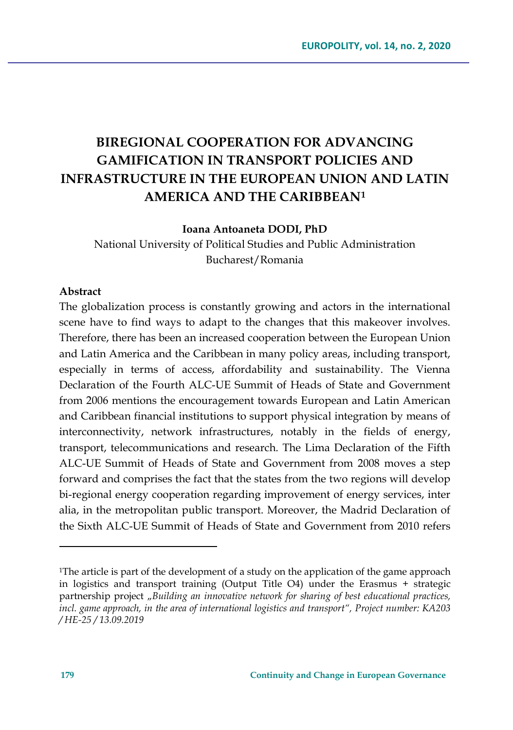# **BIREGIONAL COOPERATION FOR ADVANCING GAMIFICATION IN TRANSPORT POLICIES AND INFRASTRUCTURE IN THE EUROPEAN UNION AND LATIN AMERICA AND THE CARIBBEAN[1](#page-0-0)**

#### **Ioana Antoaneta DODI, PhD**

National University of Political Studies and Public Administration Bucharest/Romania

#### **Abstract**

The globalization process is constantly growing and actors in the international scene have to find ways to adapt to the changes that this makeover involves. Therefore, there has been an increased cooperation between the European Union and Latin America and the Caribbean in many policy areas, including transport, especially in terms of access, affordability and sustainability. The Vienna Declaration of the Fourth ALC-UE Summit of Heads of State and Government from 2006 mentions the encouragement towards European and Latin American and Caribbean financial institutions to support physical integration by means of interconnectivity, network infrastructures, notably in the fields of energy, transport, telecommunications and research. The Lima Declaration of the Fifth ALC-UE Summit of Heads of State and Government from 2008 moves a step forward and comprises the fact that the states from the two regions will develop bi-regional energy cooperation regarding improvement of energy services, inter alia, in the metropolitan public transport. Moreover, the Madrid Declaration of the Sixth ALC-UE Summit of Heads of State and Government from 2010 refers

<span id="page-0-0"></span><sup>1</sup>The article is part of the development of a study on the application of the game approach in logistics and transport training (Output Title O4) under the Erasmus + strategic partnership project "Building an innovative network for sharing of best educational practices, *incl. game approach, in the area of international logistics and transport", Project number: KA203 / HE-25 / 13.09.2019*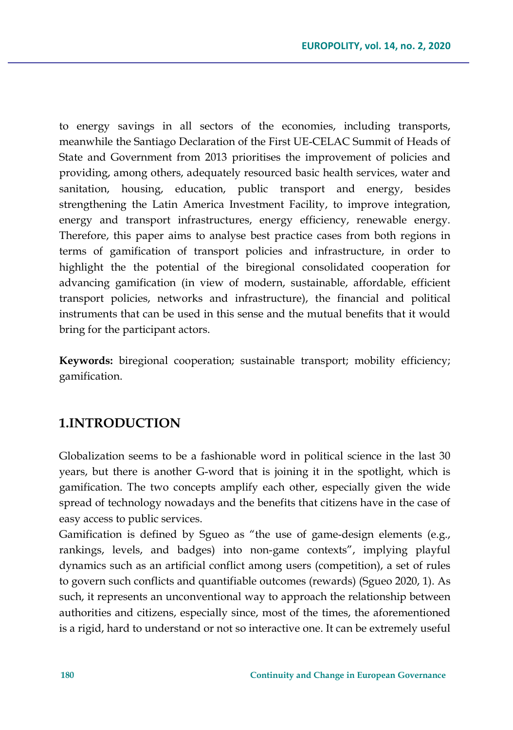to energy savings in all sectors of the economies, including transports, meanwhile the Santiago Declaration of the First UE-CELAC Summit of Heads of State and Government from 2013 prioritises the improvement of policies and providing, among others, adequately resourced basic health services, water and sanitation, housing, education, public transport and energy, besides strengthening the Latin America Investment Facility, to improve integration, energy and transport infrastructures, energy efficiency, renewable energy. Therefore, this paper aims to analyse best practice cases from both regions in terms of gamification of transport policies and infrastructure, in order to highlight the the potential of the biregional consolidated cooperation for advancing gamification (in view of modern, sustainable, affordable, efficient transport policies, networks and infrastructure), the financial and political instruments that can be used in this sense and the mutual benefits that it would bring for the participant actors.

**Keywords:** biregional cooperation; sustainable transport; mobility efficiency; gamification.

# **1.INTRODUCTION**

Globalization seems to be a fashionable word in political science in the last 30 years, but there is another G-word that is joining it in the spotlight, which is gamification. The two concepts amplify each other, especially given the wide spread of technology nowadays and the benefits that citizens have in the case of easy access to public services.

Gamification is defined by Sgueo as "the use of game-design elements (e.g., rankings, levels, and badges) into non-game contexts", implying playful dynamics such as an artificial conflict among users (competition), a set of rules to govern such conflicts and quantifiable outcomes (rewards) (Sgueo 2020, 1). As such, it represents an unconventional way to approach the relationship between authorities and citizens, especially since, most of the times, the aforementioned is a rigid, hard to understand or not so interactive one. It can be extremely useful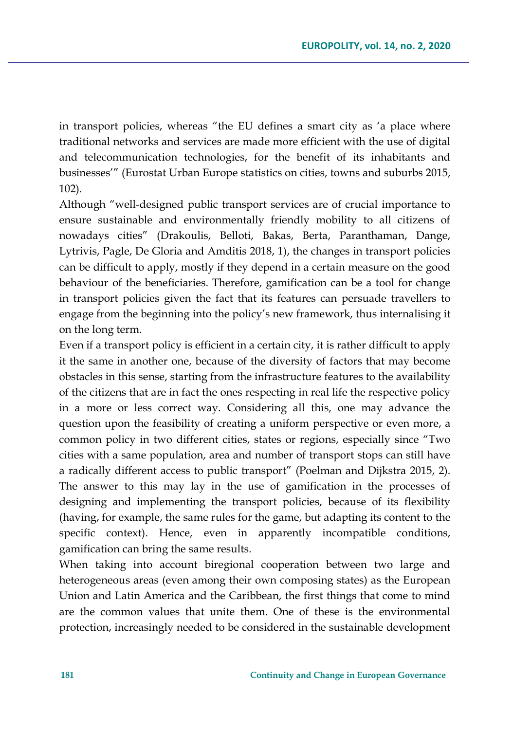in transport policies, whereas "the EU defines a smart city as 'a place where traditional networks and services are made more efficient with the use of digital and telecommunication technologies, for the benefit of its inhabitants and businesses'" (Eurostat Urban Europe statistics on cities, towns and suburbs 2015, 102).

Although "well-designed public transport services are of crucial importance to ensure sustainable and environmentally friendly mobility to all citizens of nowadays cities" (Drakoulis, Belloti, Bakas, Berta, Paranthaman, Dange, Lytrivis, Pagle, De Gloria and Amditis 2018, 1), the changes in transport policies can be difficult to apply, mostly if they depend in a certain measure on the good behaviour of the beneficiaries. Therefore, gamification can be a tool for change in transport policies given the fact that its features can persuade travellers to engage from the beginning into the policy's new framework, thus internalising it on the long term.

Even if a transport policy is efficient in a certain city, it is rather difficult to apply it the same in another one, because of the diversity of factors that may become obstacles in this sense, starting from the infrastructure features to the availability of the citizens that are in fact the ones respecting in real life the respective policy in a more or less correct way. Considering all this, one may advance the question upon the feasibility of creating a uniform perspective or even more, a common policy in two different cities, states or regions, especially since "Two cities with a same population, area and number of transport stops can still have a radically different access to public transport" (Poelman and Dijkstra 2015, 2). The answer to this may lay in the use of gamification in the processes of designing and implementing the transport policies, because of its flexibility (having, for example, the same rules for the game, but adapting its content to the specific context). Hence, even in apparently incompatible conditions, gamification can bring the same results.

When taking into account biregional cooperation between two large and heterogeneous areas (even among their own composing states) as the European Union and Latin America and the Caribbean, the first things that come to mind are the common values that unite them. One of these is the environmental protection, increasingly needed to be considered in the sustainable development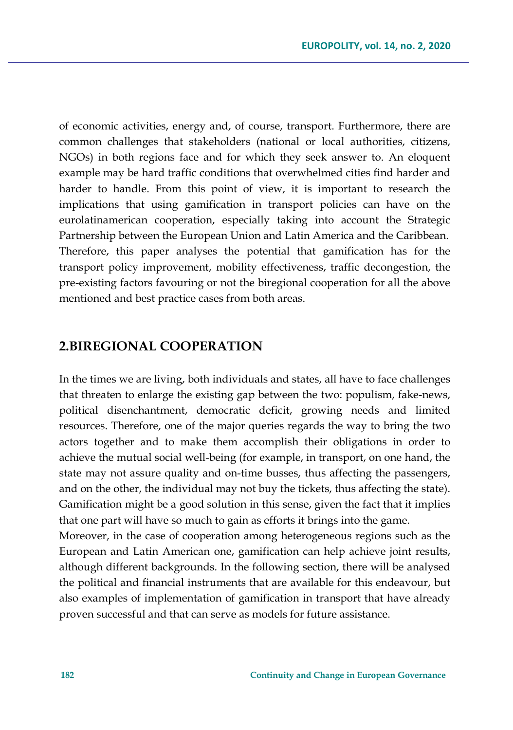of economic activities, energy and, of course, transport. Furthermore, there are common challenges that stakeholders (national or local authorities, citizens, NGOs) in both regions face and for which they seek answer to. An eloquent example may be hard traffic conditions that overwhelmed cities find harder and harder to handle. From this point of view, it is important to research the implications that using gamification in transport policies can have on the eurolatinamerican cooperation, especially taking into account the Strategic Partnership between the European Union and Latin America and the Caribbean. Therefore, this paper analyses the potential that gamification has for the transport policy improvement, mobility effectiveness, traffic decongestion, the pre-existing factors favouring or not the biregional cooperation for all the above mentioned and best practice cases from both areas.

# **2.BIREGIONAL COOPERATION**

In the times we are living, both individuals and states, all have to face challenges that threaten to enlarge the existing gap between the two: populism, fake-news, political disenchantment, democratic deficit, growing needs and limited resources. Therefore, one of the major queries regards the way to bring the two actors together and to make them accomplish their obligations in order to achieve the mutual social well-being (for example, in transport, on one hand, the state may not assure quality and on-time busses, thus affecting the passengers, and on the other, the individual may not buy the tickets, thus affecting the state). Gamification might be a good solution in this sense, given the fact that it implies that one part will have so much to gain as efforts it brings into the game.

Moreover, in the case of cooperation among heterogeneous regions such as the European and Latin American one, gamification can help achieve joint results, although different backgrounds. In the following section, there will be analysed the political and financial instruments that are available for this endeavour, but also examples of implementation of gamification in transport that have already proven successful and that can serve as models for future assistance.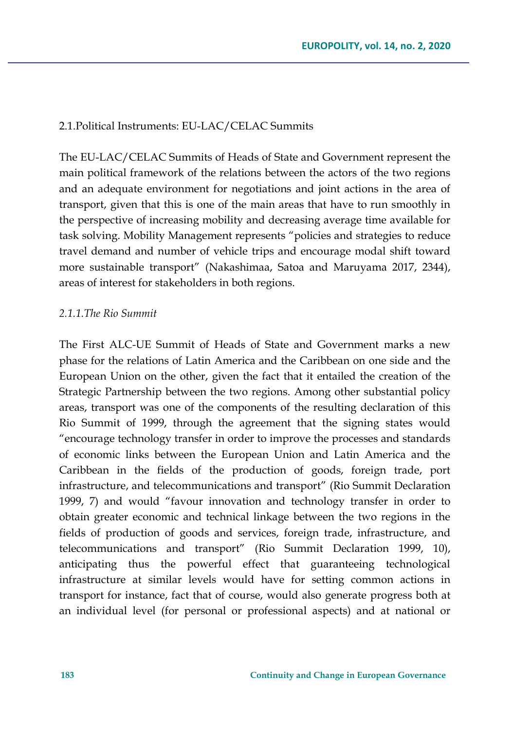#### 2.1.Political Instruments: EU-LAC/CELAC Summits

The EU-LAC/CELAC Summits of Heads of State and Government represent the main political framework of the relations between the actors of the two regions and an adequate environment for negotiations and joint actions in the area of transport, given that this is one of the main areas that have to run smoothly in the perspective of increasing mobility and decreasing average time available for task solving. Mobility Management represents "policies and strategies to reduce travel demand and number of vehicle trips and encourage modal shift toward more sustainable transport" (Nakashimaa, Satoa and Maruyama 2017, 2344), areas of interest for stakeholders in both regions.

## *2.1.1.The Rio Summit*

The First ALC-UE Summit of Heads of State and Government marks a new phase for the relations of Latin America and the Caribbean on one side and the European Union on the other, given the fact that it entailed the creation of the Strategic Partnership between the two regions. Among other substantial policy areas, transport was one of the components of the resulting declaration of this Rio Summit of 1999, through the agreement that the signing states would "encourage technology transfer in order to improve the processes and standards of economic links between the European Union and Latin America and the Caribbean in the fields of the production of goods, foreign trade, port infrastructure, and telecommunications and transport" (Rio Summit Declaration 1999, 7) and would "favour innovation and technology transfer in order to obtain greater economic and technical linkage between the two regions in the fields of production of goods and services, foreign trade, infrastructure, and telecommunications and transport" (Rio Summit Declaration 1999, 10), anticipating thus the powerful effect that guaranteeing technological infrastructure at similar levels would have for setting common actions in transport for instance, fact that of course, would also generate progress both at an individual level (for personal or professional aspects) and at national or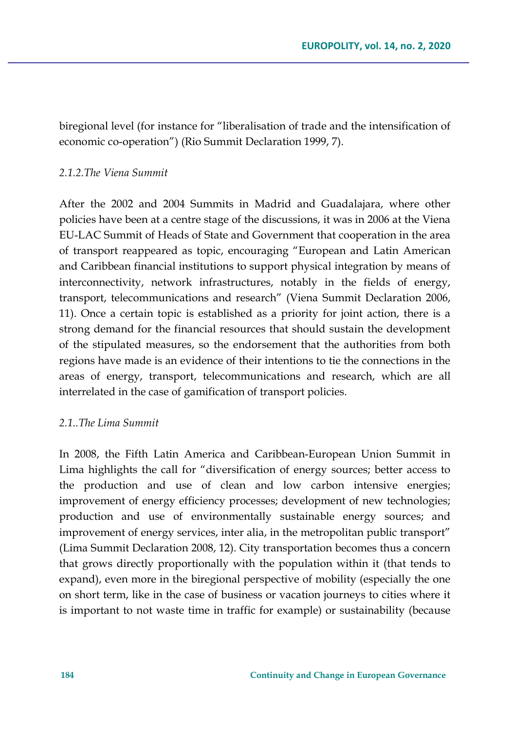biregional level (for instance for "liberalisation of trade and the intensification of economic co-operation") (Rio Summit Declaration 1999, 7).

#### *2.1.2.The Viena Summit*

After the 2002 and 2004 Summits in Madrid and Guadalajara, where other policies have been at a centre stage of the discussions, it was in 2006 at the Viena EU-LAC Summit of Heads of State and Government that cooperation in the area of transport reappeared as topic, encouraging "European and Latin American and Caribbean financial institutions to support physical integration by means of interconnectivity, network infrastructures, notably in the fields of energy, transport, telecommunications and research" (Viena Summit Declaration 2006, 11). Once a certain topic is established as a priority for joint action, there is a strong demand for the financial resources that should sustain the development of the stipulated measures, so the endorsement that the authorities from both regions have made is an evidence of their intentions to tie the connections in the areas of energy, transport, telecommunications and research, which are all interrelated in the case of gamification of transport policies.

# *2.1..The Lima Summit*

In 2008, the Fifth Latin America and Caribbean-European Union Summit in Lima highlights the call for "diversification of energy sources; better access to the production and use of clean and low carbon intensive energies; improvement of energy efficiency processes; development of new technologies; production and use of environmentally sustainable energy sources; and improvement of energy services, inter alia, in the metropolitan public transport" (Lima Summit Declaration 2008, 12). City transportation becomes thus a concern that grows directly proportionally with the population within it (that tends to expand), even more in the biregional perspective of mobility (especially the one on short term, like in the case of business or vacation journeys to cities where it is important to not waste time in traffic for example) or sustainability (because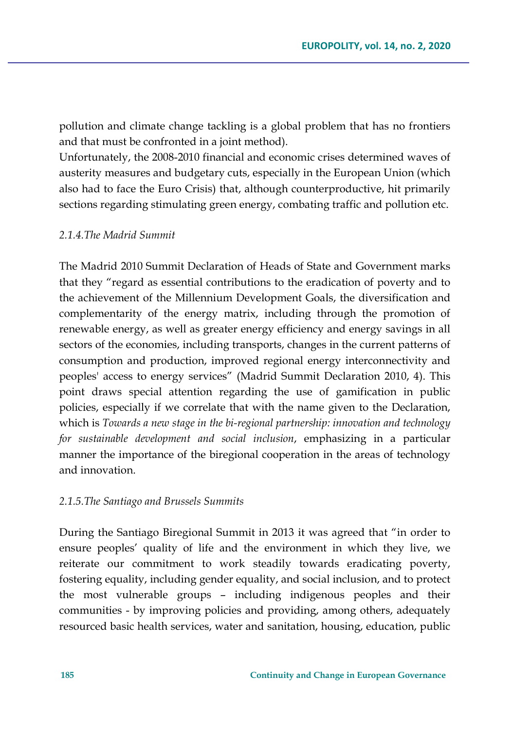pollution and climate change tackling is a global problem that has no frontiers and that must be confronted in a joint method).

Unfortunately, the 2008-2010 financial and economic crises determined waves of austerity measures and budgetary cuts, especially in the European Union (which also had to face the Euro Crisis) that, although counterproductive, hit primarily sections regarding stimulating green energy, combating traffic and pollution etc.

#### *2.1.4.The Madrid Summit*

The Madrid 2010 Summit Declaration of Heads of State and Government marks that they "regard as essential contributions to the eradication of poverty and to the achievement of the Millennium Development Goals, the diversification and complementarity of the energy matrix, including through the promotion of renewable energy, as well as greater energy efficiency and energy savings in all sectors of the economies, including transports, changes in the current patterns of consumption and production, improved regional energy interconnectivity and peoples' access to energy services" (Madrid Summit Declaration 2010, 4). This point draws special attention regarding the use of gamification in public policies, especially if we correlate that with the name given to the Declaration, which is *Towards a new stage in the bi-regional partnership: innovation and technology for sustainable development and social inclusion*, emphasizing in a particular manner the importance of the biregional cooperation in the areas of technology and innovation.

#### *2.1.5.The Santiago and Brussels Summits*

During the Santiago Biregional Summit in 2013 it was agreed that "in order to ensure peoples' quality of life and the environment in which they live, we reiterate our commitment to work steadily towards eradicating poverty, fostering equality, including gender equality, and social inclusion, and to protect the most vulnerable groups – including indigenous peoples and their communities - by improving policies and providing, among others, adequately resourced basic health services, water and sanitation, housing, education, public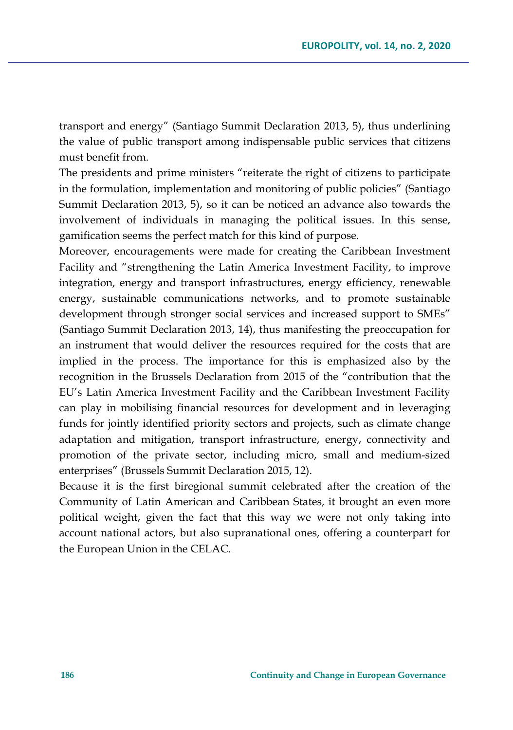transport and energy" (Santiago Summit Declaration 2013, 5), thus underlining the value of public transport among indispensable public services that citizens must benefit from.

The presidents and prime ministers "reiterate the right of citizens to participate in the formulation, implementation and monitoring of public policies" (Santiago Summit Declaration 2013, 5), so it can be noticed an advance also towards the involvement of individuals in managing the political issues. In this sense, gamification seems the perfect match for this kind of purpose.

Moreover, encouragements were made for creating the Caribbean Investment Facility and "strengthening the Latin America Investment Facility, to improve integration, energy and transport infrastructures, energy efficiency, renewable energy, sustainable communications networks, and to promote sustainable development through stronger social services and increased support to SMEs" (Santiago Summit Declaration 2013, 14), thus manifesting the preoccupation for an instrument that would deliver the resources required for the costs that are implied in the process. The importance for this is emphasized also by the recognition in the Brussels Declaration from 2015 of the "contribution that the EU's Latin America Investment Facility and the Caribbean Investment Facility can play in mobilising financial resources for development and in leveraging funds for jointly identified priority sectors and projects, such as climate change adaptation and mitigation, transport infrastructure, energy, connectivity and promotion of the private sector, including micro, small and medium-sized enterprises" (Brussels Summit Declaration 2015, 12).

Because it is the first biregional summit celebrated after the creation of the Community of Latin American and Caribbean States, it brought an even more political weight, given the fact that this way we were not only taking into account national actors, but also supranational ones, offering a counterpart for the European Union in the CELAC.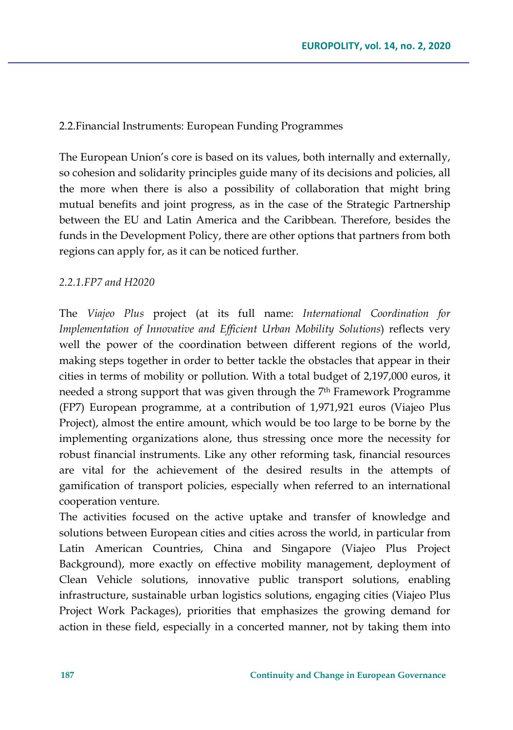#### 2.2.Financial Instruments: European Funding Programmes

The European Union's core is based on its values, both internally and externally, so cohesion and solidarity principles guide many of its decisions and policies, all the more when there is also a possibility of collaboration that might bring mutual benefits and joint progress, as in the case of the Strategic Partnership between the EU and Latin America and the Caribbean. Therefore, besides the funds in the Development Policy, there are other options that partners from both regions can apply for, as it can be noticed further.

#### *2.2.1.FP7 and H2020*

The *Viajeo Plus* project (at its full name: *International Coordination for Implementation of Innovative and Efficient Urban Mobility Solutions*) reflects very well the power of the coordination between different regions of the world, making steps together in order to better tackle the obstacles that appear in their cities in terms of mobility or pollution. With a total budget of 2,197,000 euros, it needed a strong support that was given through the 7th Framework Programme (FP7) European programme, at a contribution of 1,971,921 euros (Viajeo Plus Project), almost the entire amount, which would be too large to be borne by the implementing organizations alone, thus stressing once more the necessity for robust financial instruments. Like any other reforming task, financial resources are vital for the achievement of the desired results in the attempts of gamification of transport policies, especially when referred to an international cooperation venture.

The activities focused on the active uptake and transfer of knowledge and solutions between European cities and cities across the world, in particular from Latin American Countries, China and Singapore (Viajeo Plus Project Background), more exactly on effective mobility management, deployment of Clean Vehicle solutions, innovative public transport solutions, enabling infrastructure, sustainable urban logistics solutions, engaging cities (Viajeo Plus Project Work Packages), priorities that emphasizes the growing demand for action in these field, especially in a concerted manner, not by taking them into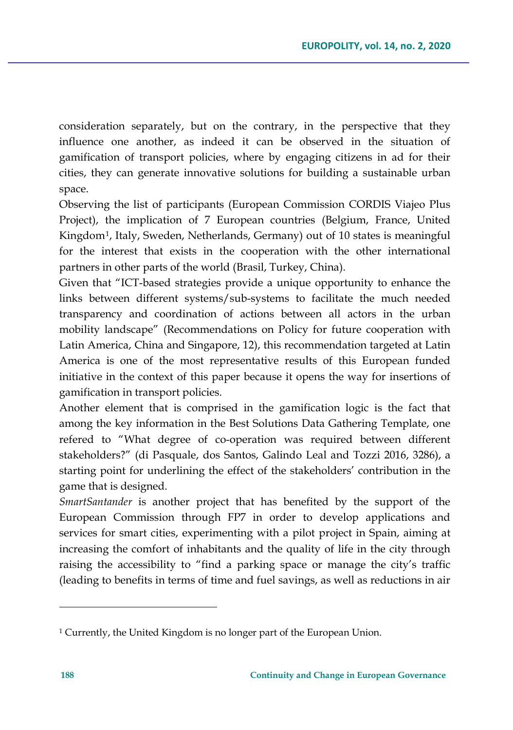consideration separately, but on the contrary, in the perspective that they influence one another, as indeed it can be observed in the situation of gamification of transport policies, where by engaging citizens in ad for their cities, they can generate innovative solutions for building a sustainable urban space.

Observing the list of participants (European Commission CORDIS Viajeo Plus Project), the implication of 7 European countries (Belgium, France, United Kingdom[1](#page-9-0), Italy, Sweden, Netherlands, Germany) out of 10 states is meaningful for the interest that exists in the cooperation with the other international partners in other parts of the world (Brasil, Turkey, China).

Given that "ICT-based strategies provide a unique opportunity to enhance the links between different systems/sub-systems to facilitate the much needed transparency and coordination of actions between all actors in the urban mobility landscape" (Recommendations on Policy for future cooperation with Latin America, China and Singapore, 12), this recommendation targeted at Latin America is one of the most representative results of this European funded initiative in the context of this paper because it opens the way for insertions of gamification in transport policies.

Another element that is comprised in the gamification logic is the fact that among the key information in the Best Solutions Data Gathering Template, one refered to "What degree of co-operation was required between different stakeholders?" (di Pasquale, dos Santos, Galindo Leal and Tozzi 2016, 3286), a starting point for underlining the effect of the stakeholders' contribution in the game that is designed.

*SmartSantander* is another project that has benefited by the support of the European Commission through FP7 in order to develop applications and services for smart cities, experimenting with a pilot project in Spain, aiming at increasing the comfort of inhabitants and the quality of life in the city through raising the accessibility to "find a parking space or manage the city's traffic (leading to benefits in terms of time and fuel savings, as well as reductions in air

<span id="page-9-0"></span><sup>1</sup> Currently, the United Kingdom is no longer part of the European Union.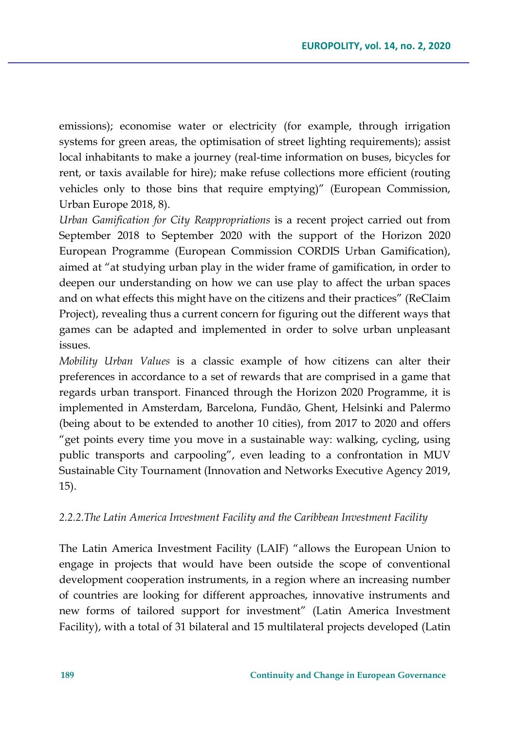emissions); economise water or electricity (for example, through irrigation systems for green areas, the optimisation of street lighting requirements); assist local inhabitants to make a journey (real-time information on buses, bicycles for rent, or taxis available for hire); make refuse collections more efficient (routing vehicles only to those bins that require emptying)" (European Commission, Urban Europe 2018, 8).

*Urban Gamification for City Reappropriations* is a recent project carried out from September 2018 to September 2020 with the support of the Horizon 2020 European Programme (European Commission CORDIS Urban Gamification), aimed at "at studying urban play in the wider frame of gamification, in order to deepen our understanding on how we can use play to affect the urban spaces and on what effects this might have on the citizens and their practices" (ReClaim Project), revealing thus a current concern for figuring out the different ways that games can be adapted and implemented in order to solve urban unpleasant issues.

*Mobility Urban Values* is a classic example of how citizens can alter their preferences in accordance to a set of rewards that are comprised in a game that regards urban transport. Financed through the Horizon 2020 Programme, it is implemented in Amsterdam, Barcelona, Fundão, Ghent, Helsinki and Palermo (being about to be extended to another 10 cities), from 2017 to 2020 and offers "get points every time you move in a sustainable way: walking, cycling, using public transports and carpooling", even leading to a confrontation in MUV Sustainable City Tournament (Innovation and Networks Executive Agency 2019, 15).

#### *2.2.2.The Latin America Investment Facility and the Caribbean Investment Facility*

The Latin America Investment Facility (LAIF) "allows the European Union to engage in projects that would have been outside the scope of conventional development cooperation instruments, in a region where an increasing number of countries are looking for different approaches, innovative instruments and new forms of tailored support for investment" (Latin America Investment Facility), with a total of 31 bilateral and 15 multilateral projects developed (Latin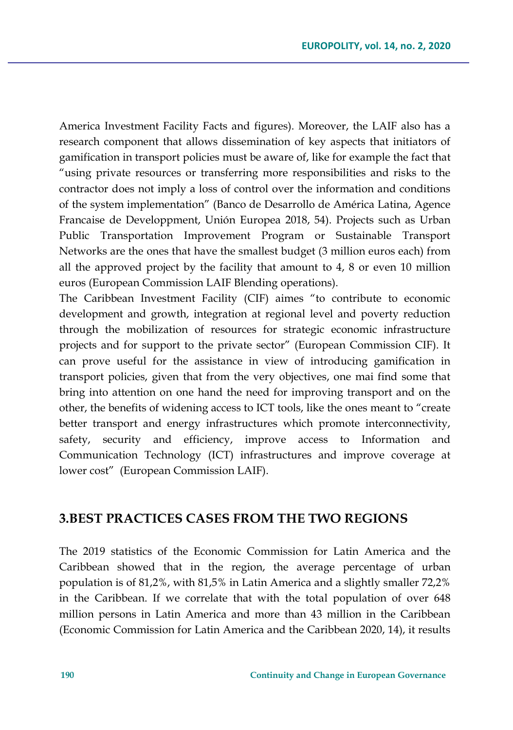America Investment Facility Facts and figures). Moreover, the LAIF also has a research component that allows dissemination of key aspects that initiators of gamification in transport policies must be aware of, like for example the fact that "using private resources or transferring more responsibilities and risks to the contractor does not imply a loss of control over the information and conditions of the system implementation" (Banco de Desarrollo de América Latina, Agence Francaise de Developpment, Unión Europea 2018, 54). Projects such as Urban Public Transportation Improvement Program or Sustainable Transport Networks are the ones that have the smallest budget (3 million euros each) from all the approved project by the facility that amount to 4, 8 or even 10 million euros (European Commission LAIF Blending operations).

The Caribbean Investment Facility (CIF) aimes "to contribute to economic development and growth, integration at regional level and poverty reduction through the mobilization of resources for strategic economic infrastructure projects and for support to the private sector" (European Commission CIF). It can prove useful for the assistance in view of introducing gamification in transport policies, given that from the very objectives, one mai find some that bring into attention on one hand the need for improving transport and on the other, the benefits of widening access to ICT tools, like the ones meant to "create better transport and energy infrastructures which promote interconnectivity, safety, security and efficiency, improve access to Information and Communication Technology (ICT) infrastructures and improve coverage at lower cost" (European Commission LAIF).

# **3.BEST PRACTICES CASES FROM THE TWO REGIONS**

The 2019 statistics of the Economic Commission for Latin America and the Caribbean showed that in the region, the average percentage of urban population is of 81,2%, with 81,5% in Latin America and a slightly smaller 72,2% in the Caribbean. If we correlate that with the total population of over 648 million persons in Latin America and more than 43 million in the Caribbean (Economic Commission for Latin America and the Caribbean 2020, 14), it results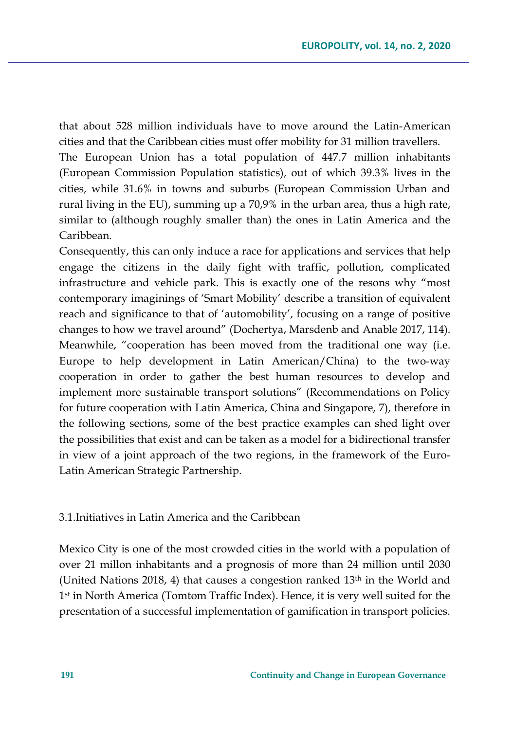that about 528 million individuals have to move around the Latin-American cities and that the Caribbean cities must offer mobility for 31 million travellers.

The European Union has a total population of 447.7 million inhabitants (European Commission Population statistics), out of which 39.3% lives in the cities, while 31.6% in towns and suburbs (European Commission Urban and rural living in the EU), summing up a 70,9% in the urban area, thus a high rate, similar to (although roughly smaller than) the ones in Latin America and the Caribbean.

Consequently, this can only induce a race for applications and services that help engage the citizens in the daily fight with traffic, pollution, complicated infrastructure and vehicle park. This is exactly one of the resons why "most contemporary imaginings of 'Smart Mobility' describe a transition of equivalent reach and significance to that of 'automobility', focusing on a range of positive changes to how we travel around" (Dochertya, Marsdenb and Anable 2017, 114). Meanwhile, "cooperation has been moved from the traditional one way (i.e. Europe to help development in Latin American/China) to the two-way cooperation in order to gather the best human resources to develop and implement more sustainable transport solutions" (Recommendations on Policy for future cooperation with Latin America, China and Singapore, 7), therefore in the following sections, some of the best practice examples can shed light over the possibilities that exist and can be taken as a model for a bidirectional transfer in view of a joint approach of the two regions, in the framework of the Euro-Latin American Strategic Partnership.

3.1.Initiatives in Latin America and the Caribbean

Mexico City is one of the most crowded cities in the world with a population of over 21 millon inhabitants and a prognosis of more than 24 million until 2030 (United Nations 2018, 4) that causes a congestion ranked  $13<sup>th</sup>$  in the World and 1st in North America (Tomtom Traffic Index). Hence, it is very well suited for the presentation of a successful implementation of gamification in transport policies.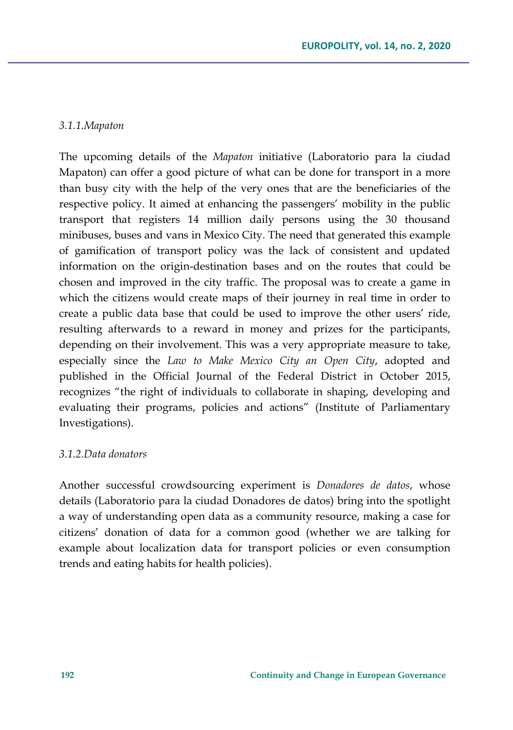## *3.1.1.Mapaton*

The upcoming details of the *Mapaton* initiative (Laboratorio para la ciudad Mapaton) can offer a good picture of what can be done for transport in a more than busy city with the help of the very ones that are the beneficiaries of the respective policy. It aimed at enhancing the passengers' mobility in the public transport that registers 14 million daily persons using the 30 thousand minibuses, buses and vans in Mexico City. The need that generated this example of gamification of transport policy was the lack of consistent and updated information on the origin-destination bases and on the routes that could be chosen and improved in the city traffic. The proposal was to create a game in which the citizens would create maps of their journey in real time in order to create a public data base that could be used to improve the other users' ride, resulting afterwards to a reward in money and prizes for the participants, depending on their involvement. This was a very appropriate measure to take, especially since the *Law to Make Mexico City an Open City*, adopted and published in the Official Journal of the Federal District in October 2015, recognizes "the right of individuals to collaborate in shaping, developing and evaluating their programs, policies and actions" (Institute of Parliamentary Investigations).

### *3.1.2.Data donators*

Another successful crowdsourcing experiment is *Donadores de datos*, whose details (Laboratorio para la ciudad Donadores de datos) bring into the spotlight a way of understanding open data as a community resource, making a case for citizens' donation of data for a common good (whether we are talking for example about localization data for transport policies or even consumption trends and eating habits for health policies).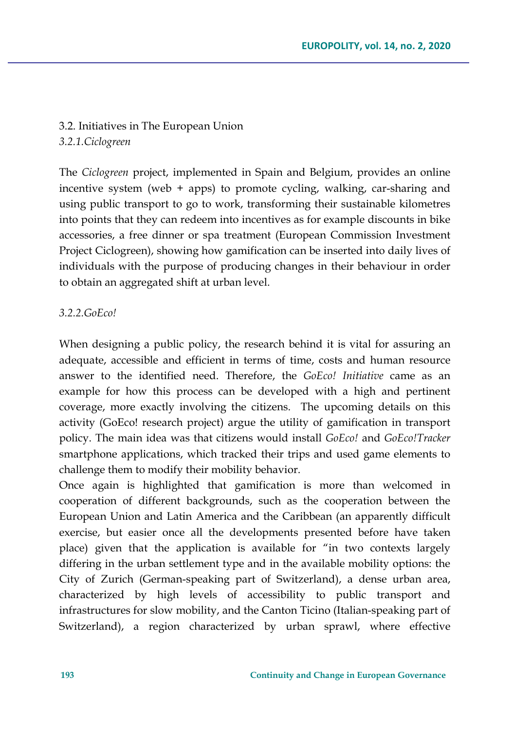3.2. Initiatives in The European Union *3.2.1.Ciclogreen*

The *Ciclogreen* project, implemented in Spain and Belgium, provides an online incentive system (web + apps) to promote cycling, walking, car-sharing and using public transport to go to work, transforming their sustainable kilometres into points that they can redeem into incentives as for example discounts in bike accessories, a free dinner or spa treatment (European Commission Investment Project Ciclogreen), showing how gamification can be inserted into daily lives of individuals with the purpose of producing changes in their behaviour in order to obtain an aggregated shift at urban level.

### *3.2.2.GoEco!*

When designing a public policy, the research behind it is vital for assuring an adequate, accessible and efficient in terms of time, costs and human resource answer to the identified need. Therefore, the *GoEco! Initiative* came as an example for how this process can be developed with a high and pertinent coverage, more exactly involving the citizens. The upcoming details on this activity (GoEco! research project) argue the utility of gamification in transport policy. The main idea was that citizens would install *GoEco!* and *GoEco!Tracker* smartphone applications, which tracked their trips and used game elements to challenge them to modify their mobility behavior.

Once again is highlighted that gamification is more than welcomed in cooperation of different backgrounds, such as the cooperation between the European Union and Latin America and the Caribbean (an apparently difficult exercise, but easier once all the developments presented before have taken place) given that the application is available for "in two contexts largely differing in the urban settlement type and in the available mobility options: the City of Zurich (German-speaking part of Switzerland), a dense urban area, characterized by high levels of accessibility to public transport and infrastructures for slow mobility, and the Canton Ticino (Italian-speaking part of Switzerland), a region characterized by urban sprawl, where effective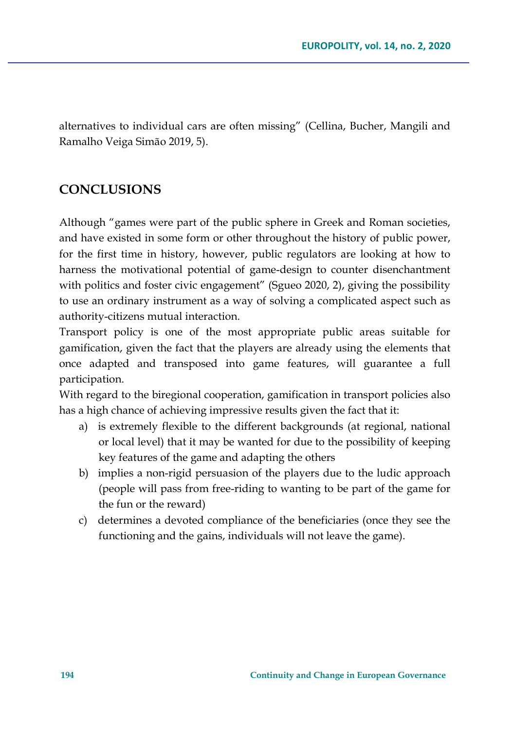alternatives to individual cars are often missing" (Cellina, Bucher, Mangili and Ramalho Veiga Simão 2019, 5).

# **CONCLUSIONS**

Although "games were part of the public sphere in Greek and Roman societies, and have existed in some form or other throughout the history of public power, for the first time in history, however, public regulators are looking at how to harness the motivational potential of game-design to counter disenchantment with politics and foster civic engagement" (Sgueo 2020, 2), giving the possibility to use an ordinary instrument as a way of solving a complicated aspect such as authority-citizens mutual interaction.

Transport policy is one of the most appropriate public areas suitable for gamification, given the fact that the players are already using the elements that once adapted and transposed into game features, will guarantee a full participation.

With regard to the biregional cooperation, gamification in transport policies also has a high chance of achieving impressive results given the fact that it:

- a) is extremely flexible to the different backgrounds (at regional, national or local level) that it may be wanted for due to the possibility of keeping key features of the game and adapting the others
- b) implies a non-rigid persuasion of the players due to the ludic approach (people will pass from free-riding to wanting to be part of the game for the fun or the reward)
- c) determines a devoted compliance of the beneficiaries (once they see the functioning and the gains, individuals will not leave the game).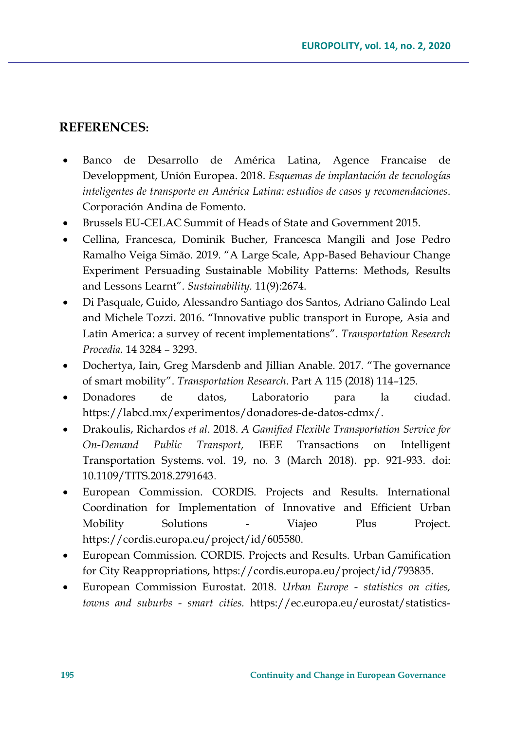# **REFERENCES:**

- Banco de Desarrollo de América Latina, Agence Francaise de Developpment, Unión Europea. 2018. *Esquemas de implantación de tecnologías inteligentes de transporte en América Latina: estudios de casos y recomendaciones*. Corporación Andina de Fomento.
- Brussels EU-CELAC Summit of Heads of State and Government 2015.
- Cellina, Francesca, Dominik Bucher, Francesca Mangili and Jose Pedro Ramalho Veiga Simão. 2019. "A Large Scale, App-Based Behaviour Change Experiment Persuading Sustainable Mobility Patterns: Methods, Results and Lessons Learnt". *Sustainability.* 11(9):2674.
- Di Pasquale, Guido, Alessandro Santiago dos Santos, Adriano Galindo Leal and Michele Tozzi. 2016. "Innovative public transport in Europe, Asia and Latin America: a survey of recent implementations". *Transportation Research Procedia.* 14 3284 – 3293.
- Dochertya, Iain, Greg Marsdenb and Jillian Anable. 2017. "The governance of smart mobility". *Transportation Research*. Part A 115 (2018) 114–125.
- Donadores de datos, Laboratorio para la ciudad. [https://labcd.mx/experimentos/donadores](https://labcd.mx/experimentos/donadores-de-datos-cdmx/)-de-datos-cdmx/.
- Drakoulis, Richardos *et al*. 2018. *A Gamified Flexible Transportation Service for On-Demand Public Transport*, IEEE Transactions on Intelligent Transportation Systems. vol. 19, no. 3 (March 2018). pp. 921-933. doi: 10.1109/TITS.2018.2791643.
- European Commission. CORDIS. Projects and Results. International Coordination for Implementation of Innovative and Efficient Urban Mobility Solutions - Viajeo Plus Project. <https://cordis.europa.eu/project/id/605580>.
- European Commission. CORDIS. Projects and Results. Urban Gamification for City Reappropriations, <https://cordis.europa.eu/project/id/793835>.
- European Commission Eurostat. 2018. *Urban Europe - statistics on cities, towns and suburbs - smart cities.* https://ec.europa.eu/eurostat/statistics-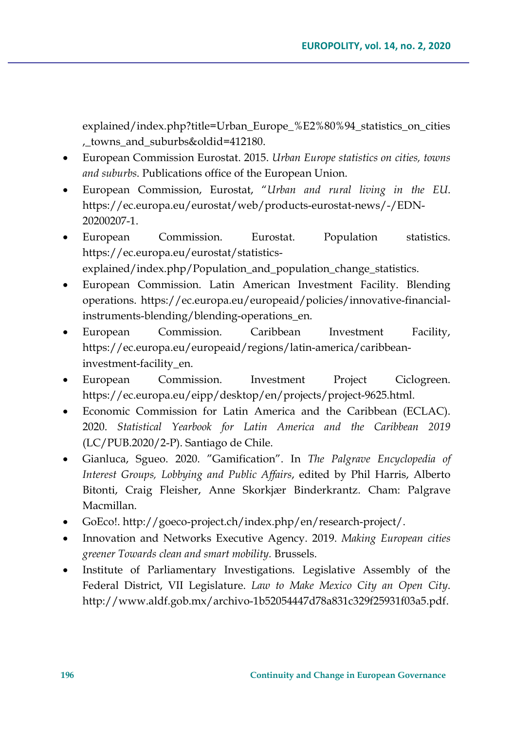explained/index.php?title=Urban\_Europe\_%E2%80%94\_statistics\_on\_cities ,\_towns\_and\_suburbs&oldid=412180.

- European Commission Eurostat. 2015. *Urban Europe statistics on cities, towns and suburbs*. Publications office of the European Union.
- European Commission, Eurostat, "*Urban and rural living in the EU*. [https://ec.europa.eu/eurostat/web/products](https://ec.europa.eu/eurostat/web/products-eurostat-news/-/EDN-20200207-1)-eurostat-news/-/EDN-[20200207](https://ec.europa.eu/eurostat/web/products-eurostat-news/-/EDN-20200207-1)-1.
- European Commission. Eurostat. Population statistics. [https://ec.europa.eu/eurostat/statistics](https://ec.europa.eu/eurostat/statistics-explained/index.php/Population_and_population_change_statistics)[explained/index.php/Population\\_and\\_population\\_change\\_statistics](https://ec.europa.eu/eurostat/statistics-explained/index.php/Population_and_population_change_statistics).
- European Commission. Latin American Investment Facility. Blending operations. [https://ec.europa.eu/europeaid/policies/innovative](https://ec.europa.eu/europeaid/policies/innovative-financial-instruments-blending/blending-operations_en)-financialinstruments-[blending/blending](https://ec.europa.eu/europeaid/policies/innovative-financial-instruments-blending/blending-operations_en)-operations\_en.
- European Commission. Caribbean Investment Facility, [https://ec.europa.eu/europeaid/regions/latin](https://ec.europa.eu/europeaid/regions/latin-america/caribbean-investment-facility_en)-america/caribbean[investment](https://ec.europa.eu/europeaid/regions/latin-america/caribbean-investment-facility_en)-facility\_en.
- European Commission. Investment Project Ciclogreen. [https://ec.europa.eu/eipp/desktop/en/projects/project](https://ec.europa.eu/eipp/desktop/en/projects/project-9625.html)-9625.html.
- Economic Commission for Latin America and the Caribbean (ECLAC). 2020. *Statistical Yearbook for Latin America and the Caribbean 2019* (LC/PUB.2020/2-P). Santiago de Chile.
- Gianluca, Sgueo. 2020. "Gamification". In *The Palgrave Encyclopedia of Interest Groups, Lobbying and Public Affairs*, edited by Phil Harris, Alberto Bitonti, Craig Fleisher, Anne Skorkjær Binderkrantz. Cham: Palgrave Macmillan.
- GoEco!. http://goeco-[project.ch/index.php/en/research](http://goeco-project.ch/index.php/en/research-project/)-project/.
- Innovation and Networks Executive Agency. 2019. *Making European cities greener Towards clean and smart mobility.* Brussels.
- Institute of Parliamentary Investigations. Legislative Assembly of the Federal District, VII Legislature. *Law to Make Mexico City an Open City*. http://www.aldf.gob.mx/archivo-[1b52054447d78a831c329f25931f03a5.pdf](http://www.aldf.gob.mx/archivo-1b52054447d78a831c329f25931f03a5.pdf).